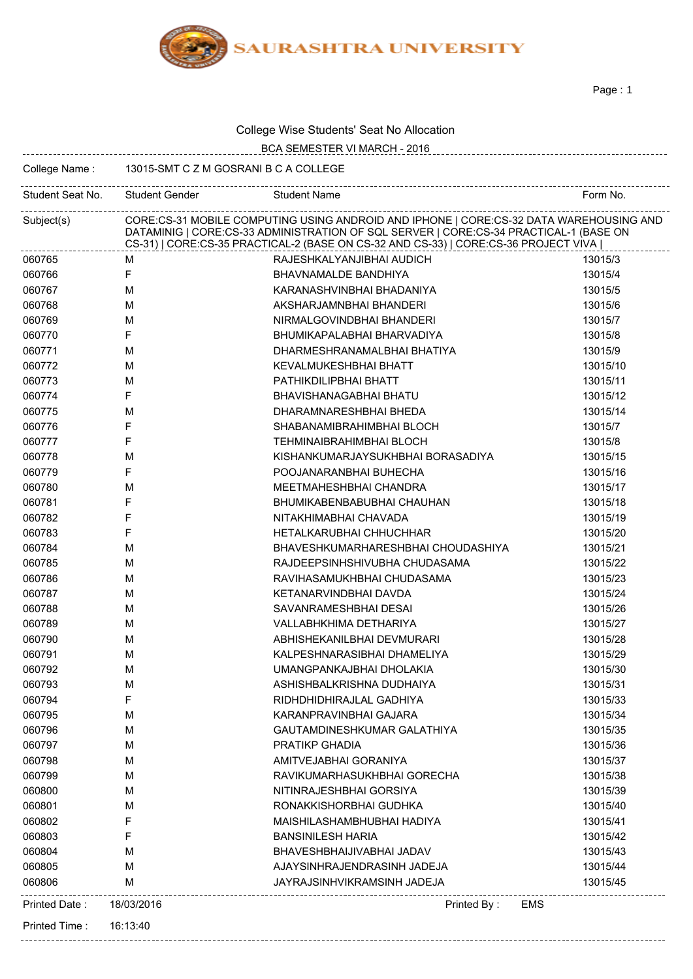

Page : 1

| College Wise Students' Seat No Allocation |
|-------------------------------------------|
|-------------------------------------------|

|                  |                                                                                                                                                                                                                                                                        | College Wise Students Seat No Allocation |          |  |  |
|------------------|------------------------------------------------------------------------------------------------------------------------------------------------------------------------------------------------------------------------------------------------------------------------|------------------------------------------|----------|--|--|
|                  |                                                                                                                                                                                                                                                                        | BCA SEMESTER VI MARCH - 2016             |          |  |  |
| College Name:    | 13015-SMT C Z M GOSRANI B C A COLLEGE                                                                                                                                                                                                                                  |                                          |          |  |  |
| Student Seat No. | Student Gender                                                                                                                                                                                                                                                         | <b>Student Name</b>                      | Form No. |  |  |
| Subject(s)       | CORE:CS-31 MOBILE COMPUTING USING ANDROID AND IPHONE   CORE:CS-32 DATA WAREHOUSING AND<br>DATAMINIG   CORE:CS-33 ADMINISTRATION OF SQL SERVER   CORE:CS-34 PRACTICAL-1 (BASE ON<br>CS-31)   CORE:CS-35 PRACTICAL-2 (BASE ON CS-32 AND CS-33)   CORE:CS-36 PROJECT VIVA |                                          |          |  |  |
| 060765           | м                                                                                                                                                                                                                                                                      | RAJESHKALYANJIBHAI AUDICH                | 13015/3  |  |  |
| 060766           | F                                                                                                                                                                                                                                                                      | BHAVNAMALDE BANDHIYA                     | 13015/4  |  |  |
| 060767           | M                                                                                                                                                                                                                                                                      | KARANASHVINBHAI BHADANIYA                | 13015/5  |  |  |
| 060768           | M                                                                                                                                                                                                                                                                      | AKSHARJAMNBHAI BHANDERI                  | 13015/6  |  |  |
| 060769           | M                                                                                                                                                                                                                                                                      | NIRMALGOVINDBHAI BHANDERI                | 13015/7  |  |  |
| 060770           | F                                                                                                                                                                                                                                                                      | BHUMIKAPALABHAI BHARVADIYA               | 13015/8  |  |  |
| 060771           | м                                                                                                                                                                                                                                                                      | DHARMESHRANAMALBHAI BHATIYA              | 13015/9  |  |  |
| 060772           | M                                                                                                                                                                                                                                                                      | KEVALMUKESHBHAI BHATT                    | 13015/10 |  |  |
| 060773           | M                                                                                                                                                                                                                                                                      | PATHIKDILIPBHAI BHATT                    | 13015/11 |  |  |
| 060774           | F                                                                                                                                                                                                                                                                      | BHAVISHANAGABHAI BHATU                   | 13015/12 |  |  |
| 060775           | M                                                                                                                                                                                                                                                                      | DHARAMNARESHBHAI BHEDA                   | 13015/14 |  |  |
| 060776           | F                                                                                                                                                                                                                                                                      | SHABANAMIBRAHIMBHAI BLOCH                | 13015/7  |  |  |
| 060777           | F                                                                                                                                                                                                                                                                      | <b>TEHMINAIBRAHIMBHAI BLOCH</b>          | 13015/8  |  |  |
| 060778           | M                                                                                                                                                                                                                                                                      | KISHANKUMARJAYSUKHBHAI BORASADIYA        | 13015/15 |  |  |
| 060779           | F                                                                                                                                                                                                                                                                      | POOJANARANBHAI BUHECHA                   | 13015/16 |  |  |
| 060780           | M                                                                                                                                                                                                                                                                      | MEETMAHESHBHAI CHANDRA                   | 13015/17 |  |  |
| 060781           | F                                                                                                                                                                                                                                                                      | BHUMIKABENBABUBHAI CHAUHAN               | 13015/18 |  |  |
| 060782           | F                                                                                                                                                                                                                                                                      | NITAKHIMABHAI CHAVADA                    | 13015/19 |  |  |
| 060783           | F                                                                                                                                                                                                                                                                      | HETALKARUBHAI CHHUCHHAR                  | 13015/20 |  |  |
| 060784           | M                                                                                                                                                                                                                                                                      | BHAVESHKUMARHARESHBHAI CHOUDASHIYA       | 13015/21 |  |  |
| 060785           | м                                                                                                                                                                                                                                                                      | RAJDEEPSINHSHIVUBHA CHUDASAMA            | 13015/22 |  |  |
| 060786           | M                                                                                                                                                                                                                                                                      | RAVIHASAMUKHBHAI CHUDASAMA               | 13015/23 |  |  |
| 060787           | M                                                                                                                                                                                                                                                                      | KETANARVINDBHAI DAVDA                    | 13015/24 |  |  |
| 060788           | м                                                                                                                                                                                                                                                                      | SAVANRAMESHBHAI DESAI                    | 13015/26 |  |  |
| 060789           | M                                                                                                                                                                                                                                                                      | VALLABHKHIMA DETHARIYA                   | 13015/27 |  |  |
| 060790           | M                                                                                                                                                                                                                                                                      | ABHISHEKANILBHAI DEVMURARI               | 13015/28 |  |  |
| 060791           | M                                                                                                                                                                                                                                                                      | KALPESHNARASIBHAI DHAMELIYA              | 13015/29 |  |  |
| 060792           | M                                                                                                                                                                                                                                                                      | UMANGPANKAJBHAI DHOLAKIA                 | 13015/30 |  |  |
| 060793           | M                                                                                                                                                                                                                                                                      | ASHISHBALKRISHNA DUDHAIYA                | 13015/31 |  |  |
| 060794           | F                                                                                                                                                                                                                                                                      | RIDHDHIDHIRAJLAL GADHIYA                 | 13015/33 |  |  |
| 060795           | M                                                                                                                                                                                                                                                                      | KARANPRAVINBHAI GAJARA                   | 13015/34 |  |  |
| 060796           | M                                                                                                                                                                                                                                                                      | GAUTAMDINESHKUMAR GALATHIYA              | 13015/35 |  |  |
| 060797           | M                                                                                                                                                                                                                                                                      | PRATIKP GHADIA                           | 13015/36 |  |  |
| 060798           | M                                                                                                                                                                                                                                                                      | AMITVEJABHAI GORANIYA                    | 13015/37 |  |  |
| 060799           | M                                                                                                                                                                                                                                                                      | RAVIKUMARHASUKHBHAI GORECHA              | 13015/38 |  |  |
| 060800           | M                                                                                                                                                                                                                                                                      | NITINRAJESHBHAI GORSIYA                  | 13015/39 |  |  |
| 060801           | M                                                                                                                                                                                                                                                                      | RONAKKISHORBHAI GUDHKA                   | 13015/40 |  |  |
| 060802           | F                                                                                                                                                                                                                                                                      | MAISHILASHAMBHUBHAI HADIYA               | 13015/41 |  |  |
| 060803           | F                                                                                                                                                                                                                                                                      | <b>BANSINILESH HARIA</b>                 | 13015/42 |  |  |
| 060804           | M                                                                                                                                                                                                                                                                      | BHAVESHBHAIJIVABHAI JADAV                | 13015/43 |  |  |
| 060805           | M                                                                                                                                                                                                                                                                      | AJAYSINHRAJENDRASINH JADEJA              | 13015/44 |  |  |
| 060806           | M                                                                                                                                                                                                                                                                      | JAYRAJSINHVIKRAMSINH JADEJA              | 13015/45 |  |  |
| Printed Date:    | 18/03/2016                                                                                                                                                                                                                                                             | Printed By:<br>EMS                       |          |  |  |
| Printed Time:    | 16:13:40                                                                                                                                                                                                                                                               |                                          |          |  |  |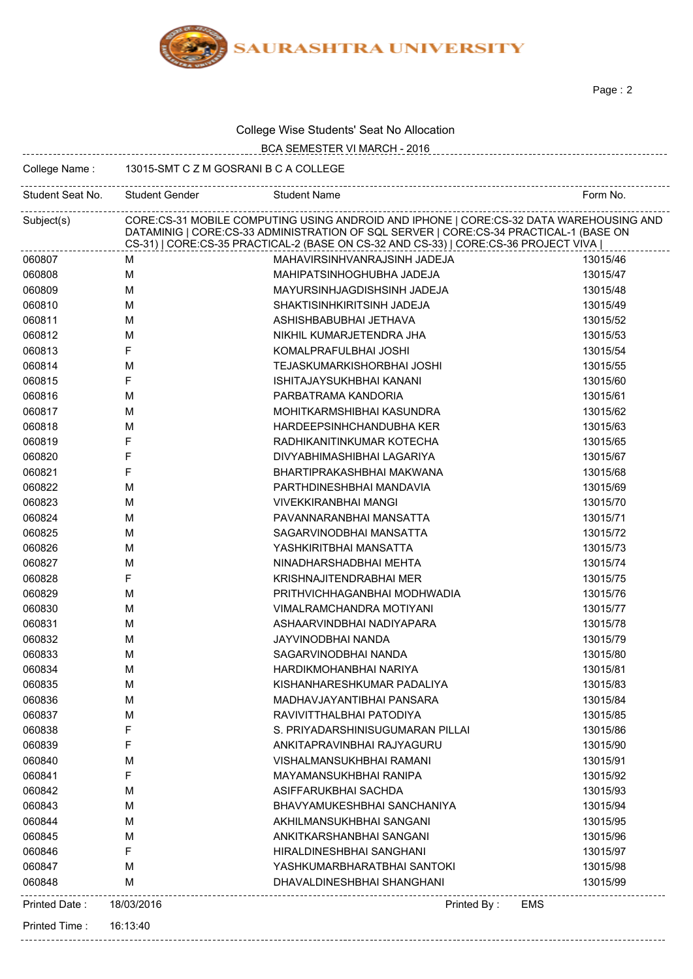

Page : 2

| College Wise Students' Seat No Allocation |  |
|-------------------------------------------|--|
|-------------------------------------------|--|

|                                                        |                                                                                                                                                                                                                                                                        | College Wise Students Seat NO Allocation                  |          |  |
|--------------------------------------------------------|------------------------------------------------------------------------------------------------------------------------------------------------------------------------------------------------------------------------------------------------------------------------|-----------------------------------------------------------|----------|--|
|                                                        |                                                                                                                                                                                                                                                                        | BCA SEMESTER VI MARCH - 2016                              |          |  |
| 13015-SMT C Z M GOSRANI B C A COLLEGE<br>College Name: |                                                                                                                                                                                                                                                                        |                                                           |          |  |
| Student Seat No.                                       | Student Gender                                                                                                                                                                                                                                                         | ----------------------------------<br><b>Student Name</b> | Form No. |  |
| Subject(s)                                             | CORE:CS-31 MOBILE COMPUTING USING ANDROID AND IPHONE   CORE:CS-32 DATA WAREHOUSING AND<br>DATAMINIG   CORE:CS-33 ADMINISTRATION OF SQL SERVER   CORE:CS-34 PRACTICAL-1 (BASE ON<br>CS-31)   CORE:CS-35 PRACTICAL-2 (BASE ON CS-32 AND CS-33)   CORE:CS-36 PROJECT VIVA |                                                           |          |  |
| 060807                                                 | м                                                                                                                                                                                                                                                                      | MAHAVIRSINHVANRAJSINH JADEJA                              | 13015/46 |  |
| 060808                                                 | м                                                                                                                                                                                                                                                                      | MAHIPATSINHOGHUBHA JADEJA                                 | 13015/47 |  |
| 060809                                                 | M                                                                                                                                                                                                                                                                      | MAYURSINHJAGDISHSINH JADEJA                               | 13015/48 |  |
| 060810                                                 | M                                                                                                                                                                                                                                                                      | SHAKTISINHKIRITSINH JADEJA                                | 13015/49 |  |
| 060811                                                 | M                                                                                                                                                                                                                                                                      | ASHISHBABUBHAI JETHAVA                                    | 13015/52 |  |
| 060812                                                 | M                                                                                                                                                                                                                                                                      | NIKHIL KUMARJETENDRA JHA                                  | 13015/53 |  |
| 060813                                                 | F                                                                                                                                                                                                                                                                      | KOMALPRAFULBHAI JOSHI                                     | 13015/54 |  |
| 060814                                                 | M                                                                                                                                                                                                                                                                      | TEJASKUMARKISHORBHAI JOSHI                                | 13015/55 |  |
| 060815                                                 | F                                                                                                                                                                                                                                                                      | ISHITAJAYSUKHBHAI KANANI                                  | 13015/60 |  |
| 060816                                                 | M                                                                                                                                                                                                                                                                      | PARBATRAMA KANDORIA                                       | 13015/61 |  |
| 060817                                                 | M                                                                                                                                                                                                                                                                      | MOHITKARMSHIBHAI KASUNDRA                                 | 13015/62 |  |
| 060818                                                 | M                                                                                                                                                                                                                                                                      | HARDEEPSINHCHANDUBHA KER                                  | 13015/63 |  |
| 060819                                                 | F                                                                                                                                                                                                                                                                      | RADHIKANITINKUMAR KOTECHA                                 | 13015/65 |  |
| 060820                                                 | F                                                                                                                                                                                                                                                                      | DIVYABHIMASHIBHAI LAGARIYA                                | 13015/67 |  |
| 060821                                                 | F                                                                                                                                                                                                                                                                      | BHARTIPRAKASHBHAI MAKWANA                                 | 13015/68 |  |
| 060822                                                 | M                                                                                                                                                                                                                                                                      | PARTHDINESHBHAI MANDAVIA                                  | 13015/69 |  |
| 060823                                                 | M                                                                                                                                                                                                                                                                      | <b>VIVEKKIRANBHAI MANGI</b>                               | 13015/70 |  |
| 060824                                                 | M                                                                                                                                                                                                                                                                      | PAVANNARANBHAI MANSATTA                                   | 13015/71 |  |
| 060825                                                 | М                                                                                                                                                                                                                                                                      | SAGARVINODBHAI MANSATTA                                   | 13015/72 |  |
| 060826                                                 | M                                                                                                                                                                                                                                                                      | YASHKIRITBHAI MANSATTA                                    | 13015/73 |  |
| 060827                                                 | M                                                                                                                                                                                                                                                                      | NINADHARSHADBHAI MEHTA                                    | 13015/74 |  |
| 060828                                                 | F                                                                                                                                                                                                                                                                      | KRISHNAJITENDRABHAI MER                                   | 13015/75 |  |
| 060829                                                 | M                                                                                                                                                                                                                                                                      | PRITHVICHHAGANBHAI MODHWADIA                              | 13015/76 |  |
| 060830                                                 | M                                                                                                                                                                                                                                                                      | VIMALRAMCHANDRA MOTIYANI                                  | 13015/77 |  |
| 060831                                                 | M                                                                                                                                                                                                                                                                      | ASHAARVINDBHAI NADIYAPARA                                 | 13015/78 |  |
| 060832                                                 | М                                                                                                                                                                                                                                                                      | JAYVINODBHAI NANDA                                        | 13015/79 |  |
| 060833                                                 | M                                                                                                                                                                                                                                                                      | SAGARVINODBHAI NANDA                                      | 13015/80 |  |
| 060834                                                 | M                                                                                                                                                                                                                                                                      | HARDIKMOHANBHAI NARIYA                                    | 13015/81 |  |
| 060835                                                 | M                                                                                                                                                                                                                                                                      | KISHANHARESHKUMAR PADALIYA                                | 13015/83 |  |
| 060836                                                 | M                                                                                                                                                                                                                                                                      | MADHAVJAYANTIBHAI PANSARA                                 | 13015/84 |  |
| 060837                                                 | M                                                                                                                                                                                                                                                                      | RAVIVITTHALBHAI PATODIYA                                  | 13015/85 |  |
| 060838                                                 | F                                                                                                                                                                                                                                                                      | S. PRIYADARSHINISUGUMARAN PILLAI                          | 13015/86 |  |
| 060839                                                 | F                                                                                                                                                                                                                                                                      | ANKITAPRAVINBHAI RAJYAGURU                                | 13015/90 |  |
| 060840                                                 | M                                                                                                                                                                                                                                                                      | VISHALMANSUKHBHAI RAMANI                                  | 13015/91 |  |
| 060841                                                 | F                                                                                                                                                                                                                                                                      | MAYAMANSUKHBHAI RANIPA                                    | 13015/92 |  |
| 060842                                                 | M                                                                                                                                                                                                                                                                      | ASIFFARUKBHAI SACHDA                                      | 13015/93 |  |
| 060843                                                 | M                                                                                                                                                                                                                                                                      | BHAVYAMUKESHBHAI SANCHANIYA                               | 13015/94 |  |
| 060844                                                 | M                                                                                                                                                                                                                                                                      | AKHILMANSUKHBHAI SANGANI                                  | 13015/95 |  |
| 060845                                                 | M                                                                                                                                                                                                                                                                      | ANKITKARSHANBHAI SANGANI                                  | 13015/96 |  |
| 060846                                                 | F                                                                                                                                                                                                                                                                      | HIRALDINESHBHAI SANGHANI                                  | 13015/97 |  |
| 060847                                                 | M                                                                                                                                                                                                                                                                      | YASHKUMARBHARATBHAI SANTOKI                               | 13015/98 |  |
| 060848                                                 | M                                                                                                                                                                                                                                                                      | DHAVALDINESHBHAI SHANGHANI                                | 13015/99 |  |
| Printed Date:                                          | 18/03/2016                                                                                                                                                                                                                                                             | Printed By:<br>EMS                                        |          |  |
| Printed Time:                                          | 16:13:40                                                                                                                                                                                                                                                               |                                                           |          |  |